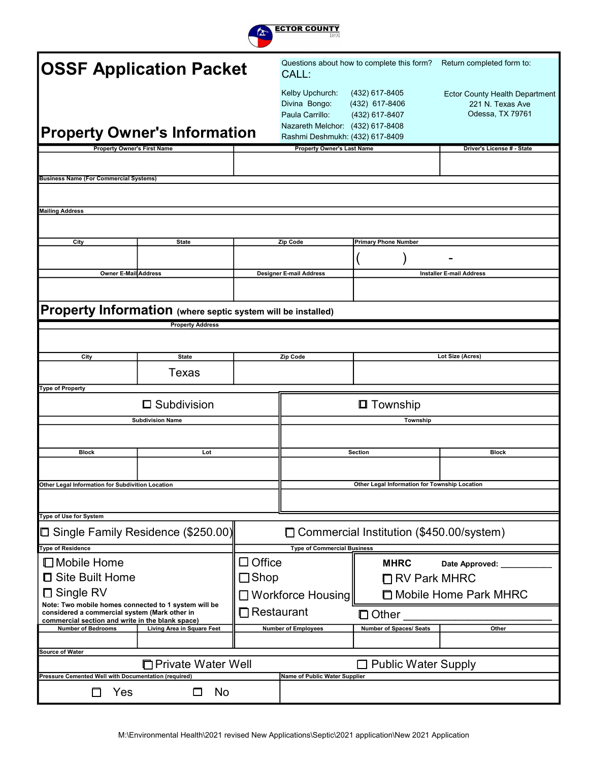

| <b>OSSF Application Packet</b>                                                                        |                            |                      | CALL:                                                                                                                      | Questions about how to complete this form?         | Return completed form to:                                                     |
|-------------------------------------------------------------------------------------------------------|----------------------------|----------------------|----------------------------------------------------------------------------------------------------------------------------|----------------------------------------------------|-------------------------------------------------------------------------------|
| <b>Property Owner's Information</b>                                                                   |                            |                      | Kelby Upchurch:<br>Divina Bongo:<br>Paula Carrillo:<br>Nazareth Melchor: (432) 617-8408<br>Rashmi Deshmukh: (432) 617-8409 | (432) 617-8405<br>(432) 617-8406<br>(432) 617-8407 | <b>Ector County Health Department</b><br>221 N. Texas Ave<br>Odessa, TX 79761 |
| <b>Property Owner's First Name</b>                                                                    |                            |                      | <b>Property Owner's Last Name</b>                                                                                          |                                                    | Driver's License # - State                                                    |
|                                                                                                       |                            |                      |                                                                                                                            |                                                    |                                                                               |
| <b>Business Name (For Commercial Systems)</b>                                                         |                            |                      |                                                                                                                            |                                                    |                                                                               |
|                                                                                                       |                            |                      |                                                                                                                            |                                                    |                                                                               |
|                                                                                                       |                            |                      |                                                                                                                            |                                                    |                                                                               |
| <b>Mailing Address</b>                                                                                |                            |                      |                                                                                                                            |                                                    |                                                                               |
|                                                                                                       |                            |                      |                                                                                                                            |                                                    |                                                                               |
|                                                                                                       |                            |                      |                                                                                                                            |                                                    |                                                                               |
| City                                                                                                  | <b>State</b>               |                      | Zip Code                                                                                                                   | <b>Primary Phone Number</b>                        |                                                                               |
|                                                                                                       |                            |                      |                                                                                                                            |                                                    |                                                                               |
| <b>Owner E-Mail Address</b>                                                                           |                            |                      | <b>Designer E-mail Address</b>                                                                                             |                                                    | <b>Installer E-mail Address</b>                                               |
|                                                                                                       |                            |                      |                                                                                                                            |                                                    |                                                                               |
|                                                                                                       |                            |                      |                                                                                                                            |                                                    |                                                                               |
|                                                                                                       |                            |                      |                                                                                                                            |                                                    |                                                                               |
| Property Information (where septic system will be installed)                                          |                            |                      |                                                                                                                            |                                                    |                                                                               |
|                                                                                                       | <b>Property Address</b>    |                      |                                                                                                                            |                                                    |                                                                               |
|                                                                                                       |                            |                      |                                                                                                                            |                                                    |                                                                               |
|                                                                                                       |                            |                      |                                                                                                                            |                                                    |                                                                               |
| City                                                                                                  | <b>State</b>               |                      | Zip Code                                                                                                                   |                                                    | Lot Size (Acres)                                                              |
|                                                                                                       | Texas                      |                      |                                                                                                                            |                                                    |                                                                               |
| Type of Property                                                                                      |                            |                      |                                                                                                                            |                                                    |                                                                               |
|                                                                                                       |                            |                      |                                                                                                                            |                                                    |                                                                               |
|                                                                                                       | $\square$ Subdivision      |                      |                                                                                                                            | <b>□</b> Township                                  |                                                                               |
| <b>Subdivision Name</b>                                                                               |                            |                      |                                                                                                                            | <b>Township</b>                                    |                                                                               |
|                                                                                                       |                            |                      |                                                                                                                            |                                                    |                                                                               |
|                                                                                                       |                            |                      |                                                                                                                            |                                                    |                                                                               |
| <b>Block</b>                                                                                          | Lot                        |                      |                                                                                                                            | <b>Section</b>                                     | <b>Block</b>                                                                  |
|                                                                                                       |                            |                      |                                                                                                                            |                                                    |                                                                               |
| Other Legal Information for Subdivition Location                                                      |                            |                      |                                                                                                                            |                                                    |                                                                               |
|                                                                                                       |                            |                      |                                                                                                                            | Other Legal Information for Township Location      |                                                                               |
|                                                                                                       |                            |                      |                                                                                                                            |                                                    |                                                                               |
| Type of Use for System                                                                                |                            |                      |                                                                                                                            |                                                    |                                                                               |
| □ Single Family Residence (\$250.00)                                                                  |                            |                      |                                                                                                                            | □ Commercial Institution (\$450.00/system)         |                                                                               |
|                                                                                                       |                            |                      |                                                                                                                            |                                                    |                                                                               |
| Type of Residence                                                                                     |                            |                      | <b>Type of Commercial Business</b>                                                                                         |                                                    |                                                                               |
| $\Box$ Mobile Home                                                                                    |                            | $\Box$ Office        |                                                                                                                            | <b>MHRC</b>                                        | Date Approved:                                                                |
| □ Site Built Home                                                                                     |                            | $\Box$ Shop          |                                                                                                                            | $\Box$ RV Park MHRC                                |                                                                               |
|                                                                                                       |                            |                      |                                                                                                                            |                                                    |                                                                               |
| □ Single RV                                                                                           |                            |                      | $\Box$ Workforce Housing                                                                                                   |                                                    | □ Mobile Home Park MHRC                                                       |
| Note: Two mobile homes connected to 1 system will be<br>considered a commercial system (Mark other in |                            | $\square$ Restaurant |                                                                                                                            |                                                    |                                                                               |
| commercial section and write in the blank space)                                                      |                            |                      |                                                                                                                            | $\Box$ Other                                       |                                                                               |
| <b>Number of Bedrooms</b>                                                                             | Living Area in Square Feet |                      | <b>Number of Employees</b>                                                                                                 | <b>Number of Spaces/ Seats</b>                     | Other                                                                         |
|                                                                                                       |                            |                      |                                                                                                                            |                                                    |                                                                               |
| Source of Water                                                                                       |                            |                      |                                                                                                                            |                                                    |                                                                               |
|                                                                                                       | □ Private Water Well       |                      |                                                                                                                            | □ Public Water Supply                              |                                                                               |
| Pressure Cemented Well with Documentation (required)                                                  |                            |                      | Name of Public Water Supplier                                                                                              |                                                    |                                                                               |
| Yes                                                                                                   | No<br>п                    |                      |                                                                                                                            |                                                    |                                                                               |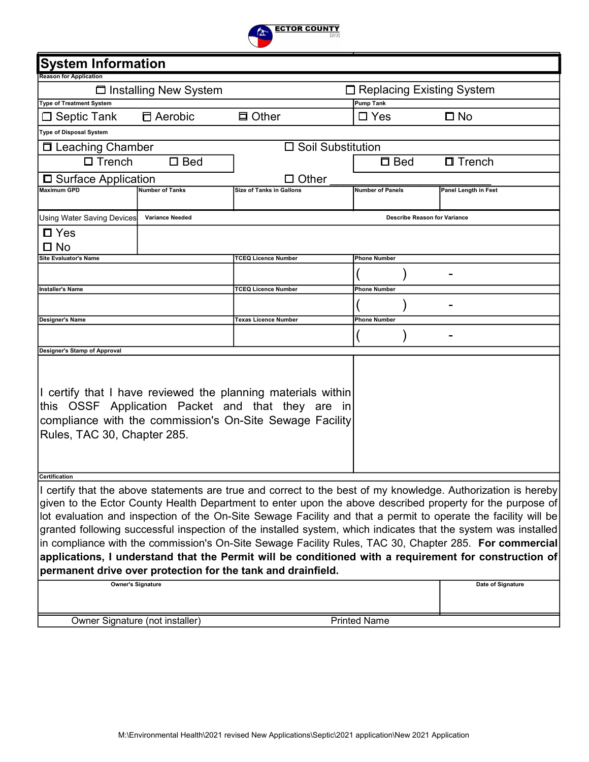

| <b>System Information</b>       |                         |                                                                                                                |                                     |                      |
|---------------------------------|-------------------------|----------------------------------------------------------------------------------------------------------------|-------------------------------------|----------------------|
| <b>Reason for Application</b>   |                         |                                                                                                                |                                     |                      |
|                                 | □ Installing New System |                                                                                                                | □ Replacing Existing System         |                      |
| <b>Type of Treatment System</b> |                         |                                                                                                                | <b>Pump Tank</b>                    |                      |
| $\Box$ Septic Tank              | □ Aerobic               | <b>口 Other</b>                                                                                                 | $\Box$ Yes                          | $\square$ No         |
| <b>Type of Disposal System</b>  |                         |                                                                                                                |                                     |                      |
| □ Leaching Chamber              |                         | $\Box$ Soil Substitution                                                                                       |                                     |                      |
| $\square$ Trench                | $\square$ Bed           |                                                                                                                | $\Box$ Bed                          | $\Box$ Trench        |
| □ Surface Application           |                         | Other                                                                                                          |                                     |                      |
| <b>Maximum GPD</b>              | <b>Number of Tanks</b>  | <b>Size of Tanks in Gallons</b>                                                                                | <b>Number of Panels</b>             | Panel Length in Feet |
|                                 |                         |                                                                                                                |                                     |                      |
| Using Water Saving Devices      | <b>Variance Needed</b>  |                                                                                                                | <b>Describe Reason for Variance</b> |                      |
| $\Box$ Yes                      |                         |                                                                                                                |                                     |                      |
| $\square$ No                    |                         |                                                                                                                |                                     |                      |
| <b>Site Evaluator's Name</b>    |                         | <b>TCEQ Licence Number</b>                                                                                     | <b>Phone Number</b>                 |                      |
|                                 |                         |                                                                                                                |                                     |                      |
| lInstaller's Name               |                         | TCEQ Licence Number                                                                                            | <b>Phone Number</b>                 |                      |
|                                 |                         |                                                                                                                |                                     |                      |
| <b>Designer's Name</b>          |                         | Texas Licence Number                                                                                           | <b>Phone Number</b>                 |                      |
|                                 |                         |                                                                                                                |                                     |                      |
| Designer's Stamp of Approval    |                         |                                                                                                                |                                     |                      |
|                                 |                         |                                                                                                                |                                     |                      |
|                                 |                         |                                                                                                                |                                     |                      |
|                                 |                         | I certify that I have reviewed the planning materials within                                                   |                                     |                      |
|                                 |                         | this OSSF Application Packet and that they are in                                                              |                                     |                      |
|                                 |                         | compliance with the commission's On-Site Sewage Facility                                                       |                                     |                      |
| Rules, TAC 30, Chapter 285.     |                         |                                                                                                                |                                     |                      |
|                                 |                         |                                                                                                                |                                     |                      |
|                                 |                         |                                                                                                                |                                     |                      |
| <b>Certification</b>            |                         |                                                                                                                |                                     |                      |
|                                 |                         | I certify that the above statements are true and correct to the best of my knowledge. Authorization is hereby  |                                     |                      |
|                                 |                         | given to the Ector County Health Department to enter upon the above described property for the purpose of      |                                     |                      |
|                                 |                         | lot evaluation and inspection of the On-Site Sewage Facility and that a permit to operate the facility will be |                                     |                      |
|                                 |                         | granted following successful inspection of the installed system, which indicates that the system was installed |                                     |                      |
|                                 |                         | in compliance with the commission's On-Site Sewage Facility Rules, TAC 30, Chapter 285. For commercial         |                                     |                      |
|                                 |                         | applications, I understand that the Permit will be conditioned with a requirement for construction of          |                                     |                      |
|                                 |                         | permanent drive over protection for the tank and drainfield.                                                   |                                     |                      |
| <b>Owner's Signature</b>        |                         |                                                                                                                |                                     | Date of Signature    |
|                                 |                         |                                                                                                                |                                     |                      |
| Owner Signature (not installer) |                         |                                                                                                                | <b>Printed Name</b>                 |                      |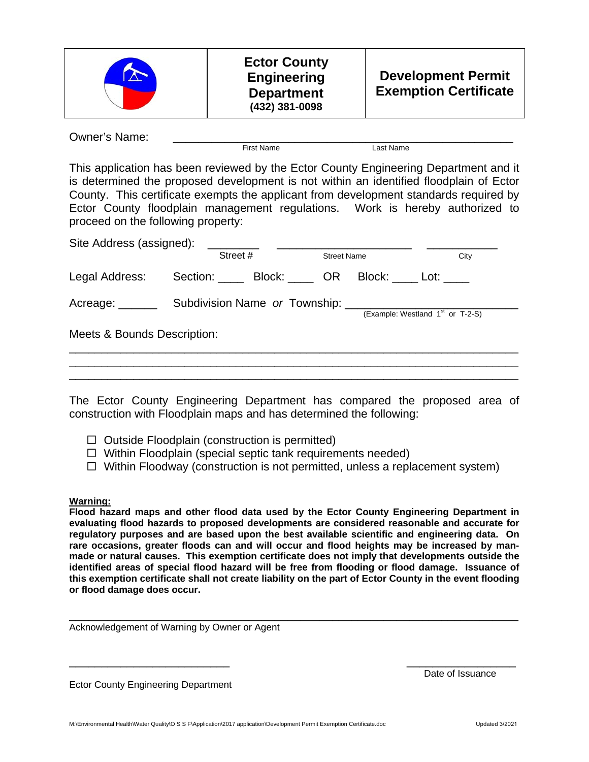Owner's Name: \_\_\_\_\_\_\_\_\_\_\_\_\_\_\_\_\_\_\_\_\_\_\_\_\_\_\_\_\_\_\_\_\_\_\_\_\_\_\_\_\_\_\_\_\_\_\_\_\_\_\_\_\_ First Name Last Name

This application has been reviewed by the Ector County Engineering Department and it is determined the proposed development is not within an identified floodplain of Ector County. This certificate exempts the applicant from development standards required by Ector County floodplain management regulations. Work is hereby authorized to proceed on the following property:

|                             | Street #                      | <b>Street Name</b> | City                               |
|-----------------------------|-------------------------------|--------------------|------------------------------------|
| Legal Address:              | Section: Block: OR            |                    | Block: Lot:                        |
| Acreage: ______             | Subdivision Name or Township: |                    | (Example: Westland $1st$ or T-2-S) |
| Meets & Bounds Description: |                               |                    |                                    |

The Ector County Engineering Department has compared the proposed area of construction with Floodplain maps and has determined the following:

- $\Box$  Outside Floodplain (construction is permitted)
- $\Box$  Within Floodplain (special septic tank requirements needed)
- $\Box$  Within Floodway (construction is not permitted, unless a replacement system)

#### **Warning:**

**Flood hazard maps and other flood data used by the Ector County Engineering Department in evaluating flood hazards to proposed developments are considered reasonable and accurate for regulatory purposes and are based upon the best available scientific and engineering data. On rare occasions, greater floods can and will occur and flood heights may be increased by manmade or natural causes. This exemption certificate does not imply that developments outside the identified areas of special flood hazard will be free from flooding or flood damage. Issuance of this exemption certificate shall not create liability on the part of Ector County in the event flooding or flood damage does occur.** 

Acknowledgement of Warning by Owner or Agent

Ector County Engineering Department

\_\_\_\_\_\_\_\_\_\_\_\_\_\_\_\_\_\_\_\_\_\_\_\_\_ \_\_\_\_\_\_\_\_\_\_\_\_\_\_\_\_\_ Date of Issuance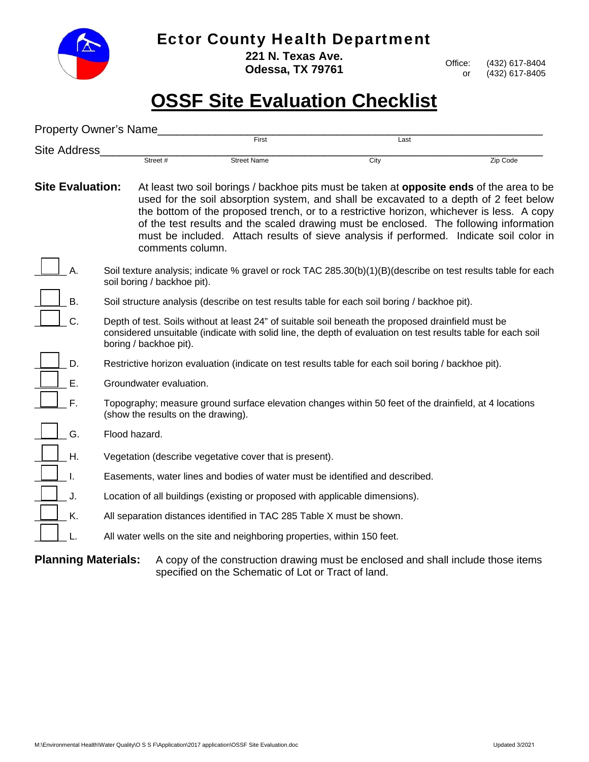

### Ector County Health Department

**221 N. Texas Ave. Odessa, TX 79761** 

Office: (432) 617-8404 or (432) 617-8405

# **OSSF Site Evaluation Checklist**

|                         | <b>Property Owner's Name</b> |                                    |                                                                              |                                                                                                                                                                                                                                                                                                                                                                                                                                                                              |          |
|-------------------------|------------------------------|------------------------------------|------------------------------------------------------------------------------|------------------------------------------------------------------------------------------------------------------------------------------------------------------------------------------------------------------------------------------------------------------------------------------------------------------------------------------------------------------------------------------------------------------------------------------------------------------------------|----------|
| <b>Site Address</b>     |                              |                                    | First                                                                        | Last                                                                                                                                                                                                                                                                                                                                                                                                                                                                         |          |
|                         |                              | Street #                           | <b>Street Name</b>                                                           | City                                                                                                                                                                                                                                                                                                                                                                                                                                                                         | Zip Code |
| <b>Site Evaluation:</b> |                              | comments column.                   |                                                                              | At least two soil borings / backhoe pits must be taken at <b>opposite ends</b> of the area to be<br>used for the soil absorption system, and shall be excavated to a depth of 2 feet below<br>the bottom of the proposed trench, or to a restrictive horizon, whichever is less. A copy<br>of the test results and the scaled drawing must be enclosed. The following information<br>must be included. Attach results of sieve analysis if performed. Indicate soil color in |          |
|                         |                              | soil boring / backhoe pit).        |                                                                              | Soil texture analysis; indicate % gravel or rock TAC 285.30(b)(1)(B)(describe on test results table for each                                                                                                                                                                                                                                                                                                                                                                 |          |
| В.                      |                              |                                    |                                                                              | Soil structure analysis (describe on test results table for each soil boring / backhoe pit).                                                                                                                                                                                                                                                                                                                                                                                 |          |
| C.                      |                              | boring / backhoe pit).             |                                                                              | Depth of test. Soils without at least 24" of suitable soil beneath the proposed drainfield must be<br>considered unsuitable (indicate with solid line, the depth of evaluation on test results table for each soil                                                                                                                                                                                                                                                           |          |
| D.                      |                              |                                    |                                                                              | Restrictive horizon evaluation (indicate on test results table for each soil boring / backhoe pit).                                                                                                                                                                                                                                                                                                                                                                          |          |
| Е.                      |                              | Groundwater evaluation.            |                                                                              |                                                                                                                                                                                                                                                                                                                                                                                                                                                                              |          |
| F.                      |                              | (show the results on the drawing). |                                                                              | Topography; measure ground surface elevation changes within 50 feet of the drainfield, at 4 locations                                                                                                                                                                                                                                                                                                                                                                        |          |
| G.                      |                              | Flood hazard.                      |                                                                              |                                                                                                                                                                                                                                                                                                                                                                                                                                                                              |          |
| Н.                      |                              |                                    | Vegetation (describe vegetative cover that is present).                      |                                                                                                                                                                                                                                                                                                                                                                                                                                                                              |          |
|                         |                              |                                    | Easements, water lines and bodies of water must be identified and described. |                                                                                                                                                                                                                                                                                                                                                                                                                                                                              |          |
| J.                      |                              |                                    | Location of all buildings (existing or proposed with applicable dimensions). |                                                                                                                                                                                                                                                                                                                                                                                                                                                                              |          |
| Κ.                      |                              |                                    | All separation distances identified in TAC 285 Table X must be shown.        |                                                                                                                                                                                                                                                                                                                                                                                                                                                                              |          |
|                         |                              |                                    | All water wells on the site and neighboring properties, within 150 feet.     |                                                                                                                                                                                                                                                                                                                                                                                                                                                                              |          |
|                         | <b>Planning Materials:</b>   |                                    | specified on the Schematic of Lot or Tract of land.                          | A copy of the construction drawing must be enclosed and shall include those items                                                                                                                                                                                                                                                                                                                                                                                            |          |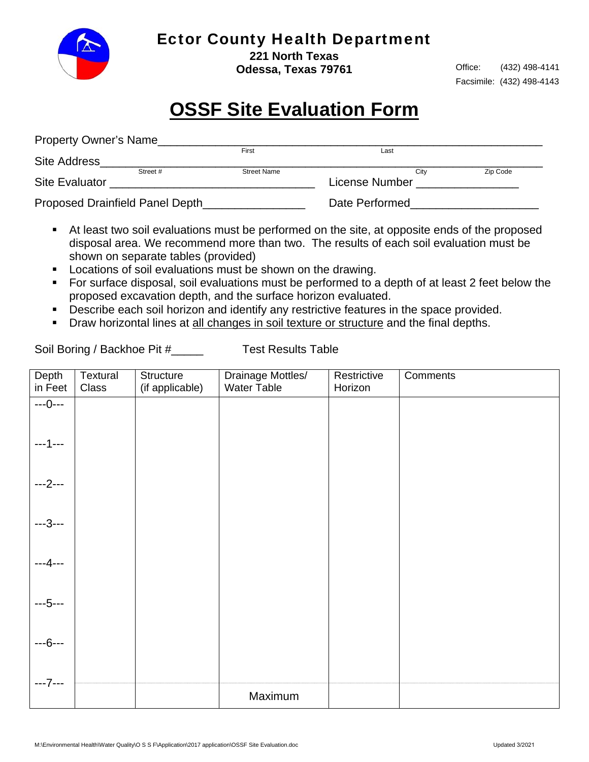

### Ector County Health Department

**221 North Texas Odessa, Texas 79761** 

Office: (432) 498-4141 Facsimile: (432) 498-4143

## **OSSF Site Evaluation Form**

| <b>Property Owner's Name</b> |                                 |                    |                |          |
|------------------------------|---------------------------------|--------------------|----------------|----------|
|                              |                                 | First              | Last           |          |
| <b>Site Address</b>          |                                 |                    |                |          |
|                              | Street #                        | <b>Street Name</b> | City           | Zip Code |
| <b>Site Evaluator</b>        |                                 |                    | License Number |          |
|                              | Proposed Drainfield Panel Depth |                    | Date Performed |          |

- At least two soil evaluations must be performed on the site, at opposite ends of the proposed disposal area. We recommend more than two. The results of each soil evaluation must be shown on separate tables (provided)
- **Locations of soil evaluations must be shown on the drawing.**
- **For surface disposal, soil evaluations must be performed to a depth of at least 2 feet below the** proposed excavation depth, and the surface horizon evaluated.
- **Describe each soil horizon and identify any restrictive features in the space provided.**
- **Draw horizontal lines at all changes in soil texture or structure and the final depths.**

Soil Boring / Backhoe Pit #\_\_\_\_\_\_ Test Results Table

| Depth<br>in Feet | Textural<br>Class | Structure<br>(if applicable) | Drainage Mottles/<br>Water Table | Restrictive<br>Horizon | Comments |
|------------------|-------------------|------------------------------|----------------------------------|------------------------|----------|
| $--0--$          |                   |                              |                                  |                        |          |
| $--1--$          |                   |                              |                                  |                        |          |
| $--2--$          |                   |                              |                                  |                        |          |
| $-3-$            |                   |                              |                                  |                        |          |
| ---4---          |                   |                              |                                  |                        |          |
| $-5-$            |                   |                              |                                  |                        |          |
| ---6---          |                   |                              |                                  |                        |          |
| $--7--$          |                   |                              | Maximum                          |                        |          |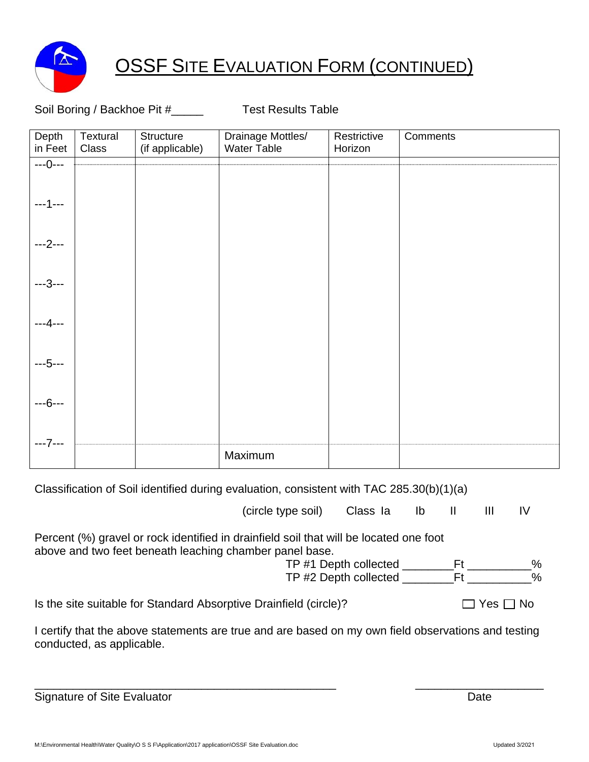

## **OSSF SITE EVALUATION FORM (CONTINUED)**

#### Soil Boring / Backhoe Pit #\_\_\_\_\_ Test Results Table

| Depth<br>in Feet | Textural<br>Class | Structure<br>(if applicable) | Drainage Mottles/<br>Water Table | Restrictive<br>Horizon | Comments |
|------------------|-------------------|------------------------------|----------------------------------|------------------------|----------|
| $---0---$        |                   |                              |                                  |                        |          |
|                  |                   |                              |                                  |                        |          |
| ---2---          |                   |                              |                                  |                        |          |
| -3---            |                   |                              |                                  |                        |          |
| --4---           |                   |                              |                                  |                        |          |
| ---5---          |                   |                              |                                  |                        |          |
| ---6---          |                   |                              |                                  |                        |          |
| --- / ---        |                   |                              |                                  |                        |          |
|                  |                   |                              | Maximum                          |                        |          |

Classification of Soil identified during evaluation, consistent with TAC 285.30(b)(1)(a)

(circle type soil) Class Ia Ib II III IV

| Percent (%) gravel or rock identified in drainfield soil that will be located one foot |   |
|----------------------------------------------------------------------------------------|---|
| above and two feet beneath leaching chamber panel base.                                |   |
| TP #1 Depth collected                                                                  | % |
| TP #2 Depth collected                                                                  | % |

Is the site suitable for Standard Absorptive Drainfield (circle)?  $\Box$  Yes  $\Box$  No

I certify that the above statements are true and are based on my own field observations and testing conducted, as applicable.

| <b>Signature of Site Evaluator</b> |  |
|------------------------------------|--|